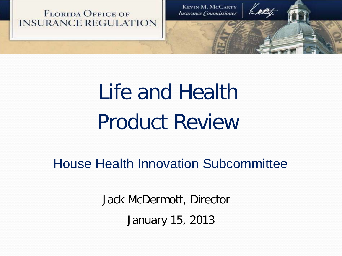

**KEVIN M. MCCARTY Insurance Commissioner** 

# Life and Health Product Review

House Health Innovation Subcommittee

Jack McDermott, Director January 15, 2013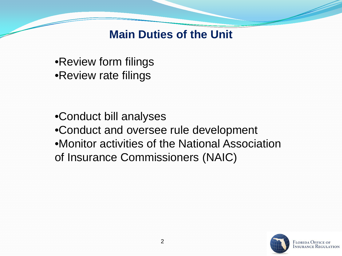**Main Duties of the Unit**

•Review form filings •Review rate filings

•Conduct bill analyses •Conduct and oversee rule development •Monitor activities of the National Association of Insurance Commissioners (NAIC)

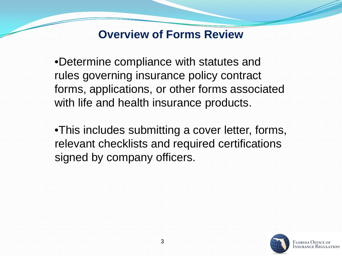## **Overview of Forms Review**

•Determine compliance with statutes and rules governing insurance policy contract forms, applications, or other forms associated with life and health insurance products.

•This includes submitting a cover letter, forms, relevant checklists and required certifications signed by company officers.



FLORIDA OFFICE OI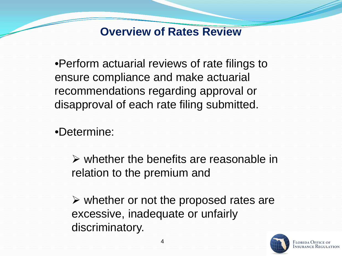### **Overview of Rates Review**

•Perform actuarial reviews of rate filings to ensure compliance and make actuarial recommendations regarding approval or disapproval of each rate filing submitted.

•Determine:

 $\triangleright$  whether the benefits are reasonable in relation to the premium and

 $\triangleright$  whether or not the proposed rates are excessive, inadequate or unfairly discriminatory.



Florida Office o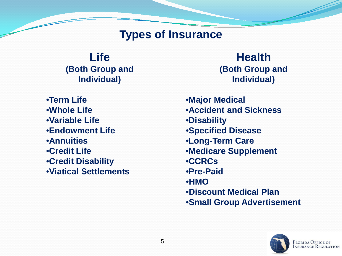#### **Types of Insurance**

**Life (Both Group and Individual)**

•**Term Life** •**Whole Life** •**Variable Life** •**Endowment Life** •**Annuities** •**Credit Life** •**Credit Disability** •**Viatical Settlements**

**Health (Both Group and Individual)**

•**Major Medical**  •**Accident and Sickness** •**Disability** •**Specified Disease** •**Long-Term Care** •**Medicare Supplement** •**CCRCs** •**Pre-Paid**  •**HMO** •**Discount Medical Plan** •**Small Group Advertisement**

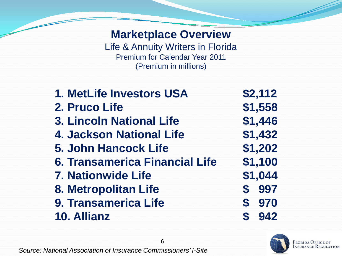## **Marketplace Overview**

Life & Annuity Writers in Florida Premium for Calendar Year 2011 (Premium in millions)

| 1. MetLife Investors USA              | \$2,112 |
|---------------------------------------|---------|
| 2. Pruco Life                         | \$1,558 |
| <b>3. Lincoln National Life</b>       | \$1,446 |
| 4. Jackson National Life              | \$1,432 |
| <b>5. John Hancock Life</b>           | \$1,202 |
| <b>6. Transamerica Financial Life</b> | \$1,100 |
| <b>7. Nationwide Life</b>             | \$1,044 |
| 8. Metropolitan Life                  | \$ 997  |
| 9. Transamerica Life                  | \$970   |
| 10. Allianz                           | \$942   |
|                                       |         |

6



FLORIDA OFFICE OF<br>Insurance Regulation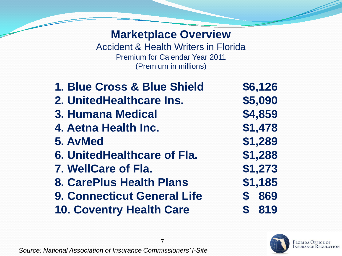#### **Marketplace Overview**

Accident & Health Writers in Florida Premium for Calendar Year 2011 (Premium in millions)

**1. Blue Cross & Blue Shield \$6,126 2. UnitedHealthcare Ins. \$5,090 3. Humana Medical \$4,859 4. Aetna Health Inc. \$1,478 5. AvMed \$1,289 6. UnitedHealthcare of Fla. \$1,288 7. WellCare of Fla. \$1,273 8. CarePlus Health Plans \$1,185 9. Connecticut General Life \$ 869 10. Coventry Health Care \$ 819**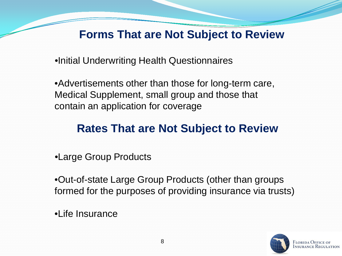# **Forms That are Not Subject to Review**

•Initial Underwriting Health Questionnaires

•Advertisements other than those for long-term care, Medical Supplement, small group and those that contain an application for coverage

# **Rates That are Not Subject to Review**

•Large Group Products

•Out-of-state Large Group Products (other than groups formed for the purposes of providing insurance via trusts)

•Life Insurance

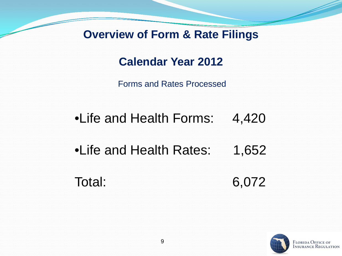### **Overview of Form & Rate Filings**

## **Calendar Year 2012**

Forms and Rates Processed

- •Life and Health Forms: 4,420
- •Life and Health Rates: 1,652
- Total: 6,072

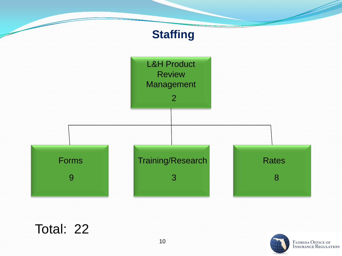

# Total: 22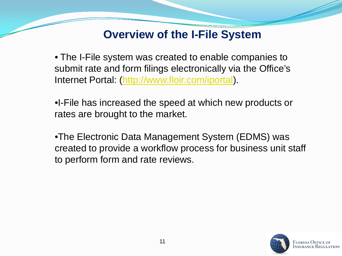## **Overview of the I-File System**

• The I-File system was created to enable companies to submit rate and form filings electronically via the Office's Internet Portal: ([http://www.floir.com/iportal\)](http://www.floir.com/iportal).

•I-File has increased the speed at which new products or rates are brought to the market.

•The Electronic Data Management System (EDMS) was created to provide a workflow process for business unit staff to perform form and rate reviews.